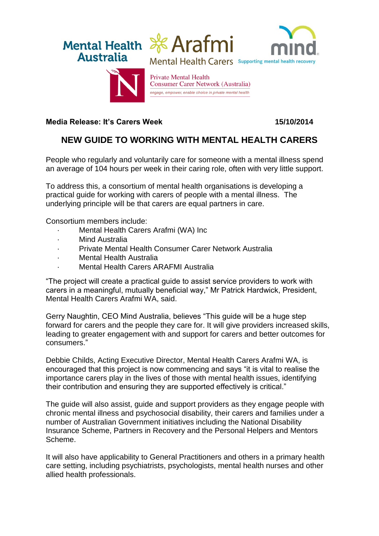

## **Media Release: It's Carers Week 15/10/2014**

## **NEW GUIDE TO WORKING WITH MENTAL HEALTH CARERS**

People who regularly and voluntarily care for someone with a mental illness spend an average of 104 hours per week in their caring role, often with very little support.

To address this, a consortium of mental health organisations is developing a practical guide for working with carers of people with a mental illness. The underlying principle will be that carers are equal partners in care.

Consortium members include:

- · Mental Health Carers Arafmi (WA) Inc
- **Mind Australia**
- · Private Mental Health Consumer Carer Network Australia
- **Mental Health Australia**
- · Mental Health Carers ARAFMI Australia

"The project will create a practical guide to assist service providers to work with carers in a meaningful, mutually beneficial way," Mr Patrick Hardwick, President, Mental Health Carers Arafmi WA, said.

Gerry Naughtin, CEO Mind Australia, believes "This guide will be a huge step forward for carers and the people they care for. It will give providers increased skills, leading to greater engagement with and support for carers and better outcomes for consumers."

Debbie Childs, Acting Executive Director, Mental Health Carers Arafmi WA, is encouraged that this project is now commencing and says "it is vital to realise the importance carers play in the lives of those with mental health issues, identifying their contribution and ensuring they are supported effectively is critical."

The guide will also assist, guide and support providers as they engage people with chronic mental illness and psychosocial disability, their carers and families under a number of Australian Government initiatives including the National Disability Insurance Scheme, Partners in Recovery and the Personal Helpers and Mentors Scheme.

It will also have applicability to General Practitioners and others in a primary health care setting, including psychiatrists, psychologists, mental health nurses and other allied health professionals.